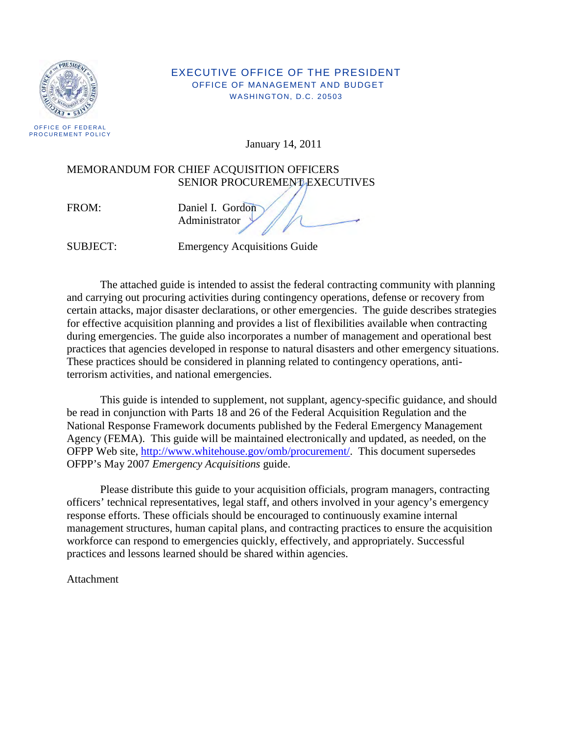

#### EXECUTIVE OFFICE OF THE PRESIDENT OFFICE OF MANAGEMENT AND BUDGET WASHINGTON, D.C. 20503

January 14, 2011

#### MEMORANDUM FOR CHIEF ACQUISITION OFFICERS SENIOR PROCUREMENT EXECUTIVES

FROM: Daniel I. Gordon Administrator

SUBJECT: Emergency Acquisitions Guide

The attached guide is intended to assist the federal contracting community with planning and carrying out procuring activities during contingency operations, defense or recovery from certain attacks, major disaster declarations, or other emergencies. The guide describes strategies for effective acquisition planning and provides a list of flexibilities available when contracting during emergencies. The guide also incorporates a number of management and operational best practices that agencies developed in response to natural disasters and other emergency situations. These practices should be considered in planning related to contingency operations, antiterrorism activities, and national emergencies.

 This guide is intended to supplement, not supplant, agency-specific guidance, and should be read in conjunction with Parts 18 and 26 of the Federal Acquisition Regulation and the National Response Framework documents published by the Federal Emergency Management Agency (FEMA). This guide will be maintained electronically and updated, as needed, on the OFPP Web site, [http://www.whitehouse.gov/omb/procurement/.](http://www.whitehouse.gov/omb/procurement/) This document supersedes OFPP's May 2007 *Emergency Acquisitions* guide.

 Please distribute this guide to your acquisition officials, program managers, contracting officers' technical representatives, legal staff, and others involved in your agency's emergency response efforts. These officials should be encouraged to continuously examine internal management structures, human capital plans, and contracting practices to ensure the acquisition workforce can respond to emergencies quickly, effectively, and appropriately. Successful practices and lessons learned should be shared within agencies.

Attachment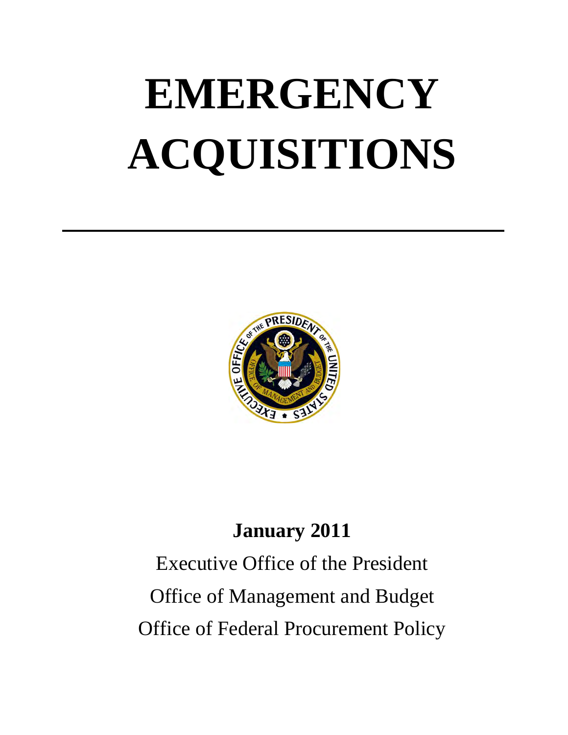# **EMERGENCY ACQUISITIONS**



### **January 2011**

## Executive Office of the President Office of Management and Budget Office of Federal Procurement Policy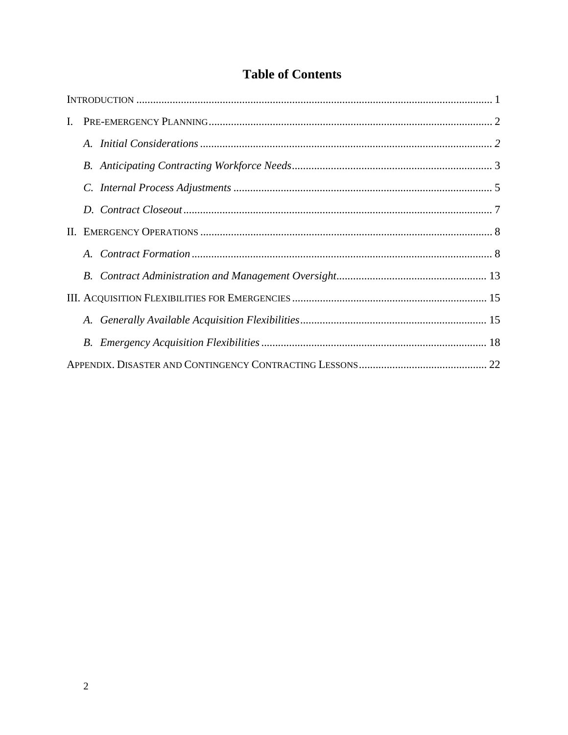#### **Table of Contents**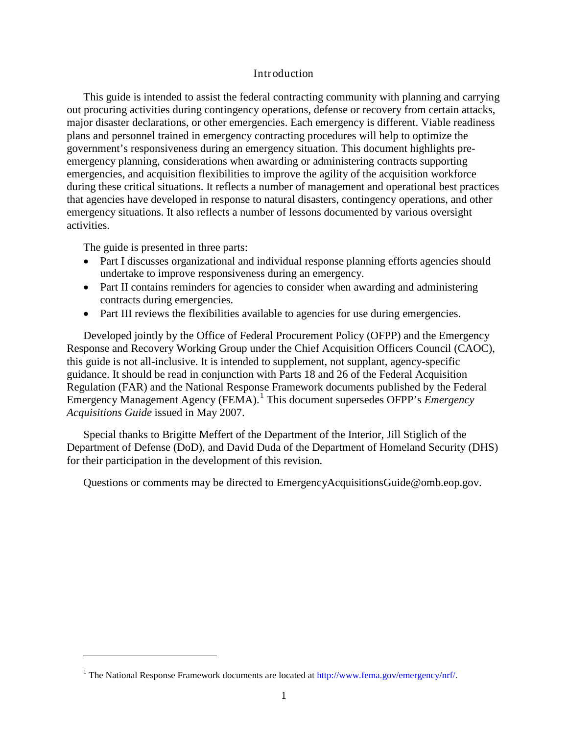#### Introduction

This guide is intended to assist the federal contracting community with planning and carrying out procuring activities during contingency operations, defense or recovery from certain attacks, major disaster declarations, or other emergencies. Each emergency is different. Viable readiness plans and personnel trained in emergency contracting procedures will help to optimize the government's responsiveness during an emergency situation. This document highlights preemergency planning, considerations when awarding or administering contracts supporting emergencies, and acquisition flexibilities to improve the agility of the acquisition workforce during these critical situations. It reflects a number of management and operational best practices that agencies have developed in response to natural disasters, contingency operations, and other emergency situations. It also reflects a number of lessons documented by various oversight activities.

The guide is presented in three parts:

 $\ddot{\phantom{a}}$ 

- Part I discusses organizational and individual response planning efforts agencies should undertake to improve responsiveness during an emergency.
- Part II contains reminders for agencies to consider when awarding and administering contracts during emergencies.
- Part III reviews the flexibilities available to agencies for use during emergencies.

Developed jointly by the Office of Federal Procurement Policy (OFPP) and the Emergency Response and Recovery Working Group under the Chief Acquisition Officers Council (CAOC), this guide is not all-inclusive. It is intended to supplement, not supplant, agency-specific guidance. It should be read in conjunction with Parts 18 and 26 of the Federal Acquisition Regulation (FAR) and the National Response Framework documents published by the Federal Emergency Management Agency (FEMA).<sup>[1](#page-3-0)</sup> This document supersedes OFPP's *Emergency Acquisitions Guide* issued in May 2007.

Special thanks to Brigitte Meffert of the Department of the Interior, Jill Stiglich of the Department of Defense (DoD), and David Duda of the Department of Homeland Security (DHS) for their participation in the development of this revision.

Questions or comments may be directed to EmergencyAcquisitionsGuide@omb.eop.gov.

<span id="page-3-0"></span><sup>&</sup>lt;sup>1</sup> The National Response Framework documents are located at [http://www.fema.gov/emergency/nrf/.](http://www.fema.gov/emergency/nrf/)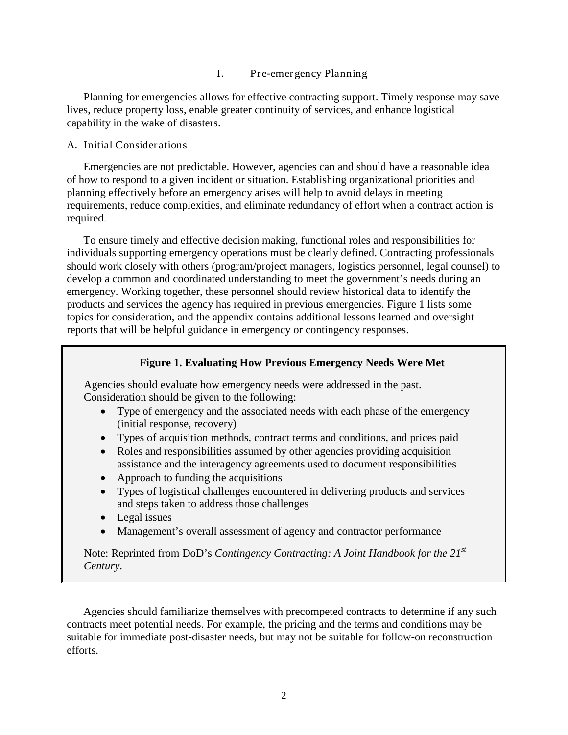#### I. Pre-emergency Planning

Planning for emergencies allows for effective contracting support. Timely response may save lives, reduce property loss, enable greater continuity of services, and enhance logistical capability in the wake of disasters.

#### A. Initial Considerations

Emergencies are not predictable. However, agencies can and should have a reasonable idea of how to respond to a given incident or situation. Establishing organizational priorities and planning effectively before an emergency arises will help to avoid delays in meeting requirements, reduce complexities, and eliminate redundancy of effort when a contract action is required.

To ensure timely and effective decision making, functional roles and responsibilities for individuals supporting emergency operations must be clearly defined. Contracting professionals should work closely with others (program/project managers, logistics personnel, legal counsel) to develop a common and coordinated understanding to meet the government's needs during an emergency. Working together, these personnel should review historical data to identify the products and services the agency has required in previous emergencies. Figure 1 lists some topics for consideration, and the appendix contains additional lessons learned and oversight reports that will be helpful guidance in emergency or contingency responses.

#### **Figure 1. Evaluating How Previous Emergency Needs Were Met**

Agencies should evaluate how emergency needs were addressed in the past. Consideration should be given to the following:

- Type of emergency and the associated needs with each phase of the emergency (initial response, recovery)
- Types of acquisition methods, contract terms and conditions, and prices paid
- Roles and responsibilities assumed by other agencies providing acquisition assistance and the interagency agreements used to document responsibilities
- Approach to funding the acquisitions
- Types of logistical challenges encountered in delivering products and services and steps taken to address those challenges
- Legal issues
- Management's overall assessment of agency and contractor performance

Note: Reprinted from DoD's *Contingency Contracting: A Joint Handbook for the 21st Century*.

Agencies should familiarize themselves with precompeted contracts to determine if any such contracts meet potential needs. For example, the pricing and the terms and conditions may be suitable for immediate post-disaster needs, but may not be suitable for follow-on reconstruction efforts.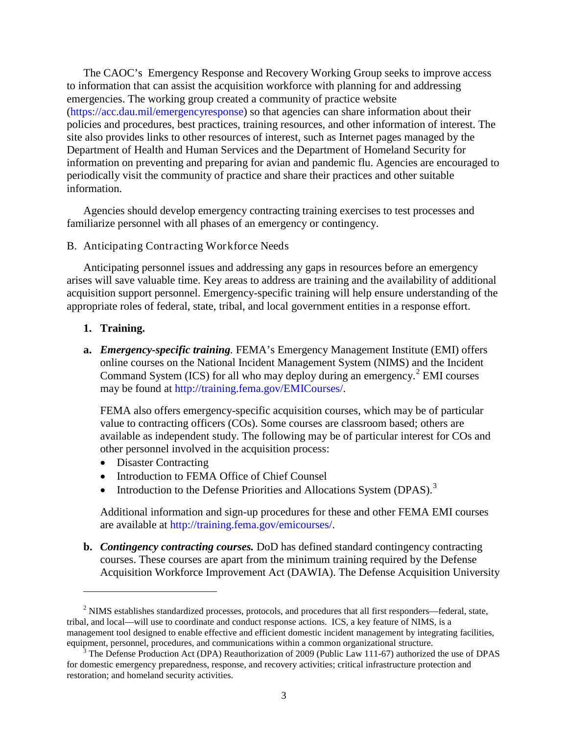The CAOC's Emergency Response and Recovery Working Group seeks to improve access to information that can assist the acquisition workforce with planning for and addressing emergencies. The working group created a community of practice website [\(https://acc.dau.mil/emergencyresponse\)](https://acc.dau.mil/emergencyresponse) so that agencies can share information about their policies and procedures, best practices, training resources, and other information of interest. The site also provides links to other resources of interest, such as Internet pages managed by the Department of Health and Human Services and the Department of Homeland Security for information on preventing and preparing for avian and pandemic flu. Agencies are encouraged to periodically visit the community of practice and share their practices and other suitable information.

Agencies should develop emergency contracting training exercises to test processes and familiarize personnel with all phases of an emergency or contingency.

#### B. Anticipating Contracting Workforce Needs

Anticipating personnel issues and addressing any gaps in resources before an emergency arises will save valuable time. Key areas to address are training and the availability of additional acquisition support personnel. Emergency-specific training will help ensure understanding of the appropriate roles of federal, state, tribal, and local government entities in a response effort.

**1. Training.** 

 $\ddot{\phantom{a}}$ 

**a.** *Emergency-specific training.* FEMA's Emergency Management Institute (EMI) offers online courses on the National Incident Management System (NIMS) and the Incident Command System (ICS) for all who may deploy during an emergency.<sup>[2](#page-5-0)</sup> EMI courses may be found at http://training.fema.gov/EMICourses/.

FEMA also offers emergency-specific acquisition courses, which may be of particular value to contracting officers (COs). Some courses are classroom based; others are available as independent study. The following may be of particular interest for COs and other personnel involved in the acquisition process:

- Disaster Contracting
- Introduction to FEMA Office of Chief Counsel
- Introduction to the Defense Priorities and Allocations System (DPAS).<sup>[3](#page-5-1)</sup>

Additional information and sign-up procedures for these and other FEMA EMI courses are available at [http://training.fema.gov/emicourses/.](http://training.fema.gov/emicourses/)

**b.** *Contingency contracting courses.* DoD has defined standard contingency contracting courses. These courses are apart from the minimum training required by the Defense Acquisition Workforce Improvement Act (DAWIA). The Defense Acquisition University

<span id="page-5-0"></span><sup>&</sup>lt;sup>2</sup> NIMS establishes standardized processes, protocols, and procedures that all first responders—federal, state, tribal, and local—will use to coordinate and conduct response actions. ICS, a key feature of NIMS, is a management tool designed to enable effective and efficient domestic incident management by integrating facilities, equipment, personnel, procedures, and communications within a common organizational structure.

<span id="page-5-1"></span><sup>&</sup>lt;sup>3</sup> The Defense Production Act (DPA) Reauthorization of 2009 (Public Law 111-67) authorized the use of DPAS for domestic emergency preparedness, response, and recovery activities; critical infrastructure protection and restoration; and homeland security activities.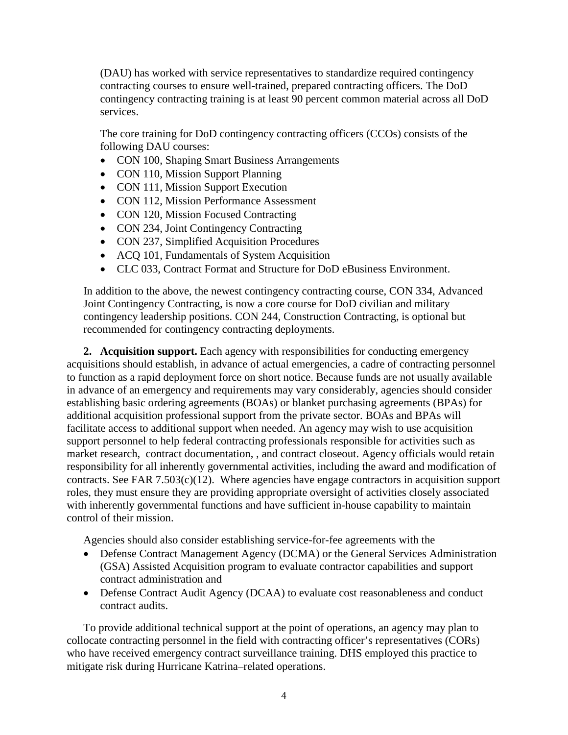(DAU) has worked with service representatives to standardize required contingency contracting courses to ensure well-trained, prepared contracting officers. The DoD contingency contracting training is at least 90 percent common material across all DoD services.

The core training for DoD contingency contracting officers (CCOs) consists of the following DAU courses:

- CON 100, Shaping Smart Business Arrangements
- CON 110, Mission Support Planning
- CON 111, Mission Support Execution
- CON 112, Mission Performance Assessment
- CON 120, Mission Focused Contracting
- CON 234, Joint Contingency Contracting
- CON 237, Simplified Acquisition Procedures
- ACQ 101, Fundamentals of System Acquisition
- CLC 033, Contract Format and Structure for DoD eBusiness Environment.

In addition to the above, the newest contingency contracting course, CON 334, Advanced Joint Contingency Contracting, is now a core course for DoD civilian and military contingency leadership positions. CON 244, Construction Contracting, is optional but recommended for contingency contracting deployments.

**2. Acquisition support.** Each agency with responsibilities for conducting emergency acquisitions should establish, in advance of actual emergencies, a cadre of contracting personnel to function as a rapid deployment force on short notice. Because funds are not usually available in advance of an emergency and requirements may vary considerably, agencies should consider establishing basic ordering agreements (BOAs) or blanket purchasing agreements (BPAs) for additional acquisition professional support from the private sector. BOAs and BPAs will facilitate access to additional support when needed. An agency may wish to use acquisition support personnel to help federal contracting professionals responsible for activities such as market research, contract documentation, , and contract closeout. Agency officials would retain responsibility for all inherently governmental activities, including the award and modification of contracts. See FAR 7.503(c)(12). Where agencies have engage contractors in acquisition support roles, they must ensure they are providing appropriate oversight of activities closely associated with inherently governmental functions and have sufficient in-house capability to maintain control of their mission.

Agencies should also consider establishing service-for-fee agreements with the

- Defense Contract Management Agency (DCMA) or the General Services Administration (GSA) Assisted Acquisition program to evaluate contractor capabilities and support contract administration and
- Defense Contract Audit Agency (DCAA) to evaluate cost reasonableness and conduct contract audits.

To provide additional technical support at the point of operations, an agency may plan to collocate contracting personnel in the field with contracting officer's representatives (CORs) who have received emergency contract surveillance training. DHS employed this practice to mitigate risk during Hurricane Katrina–related operations.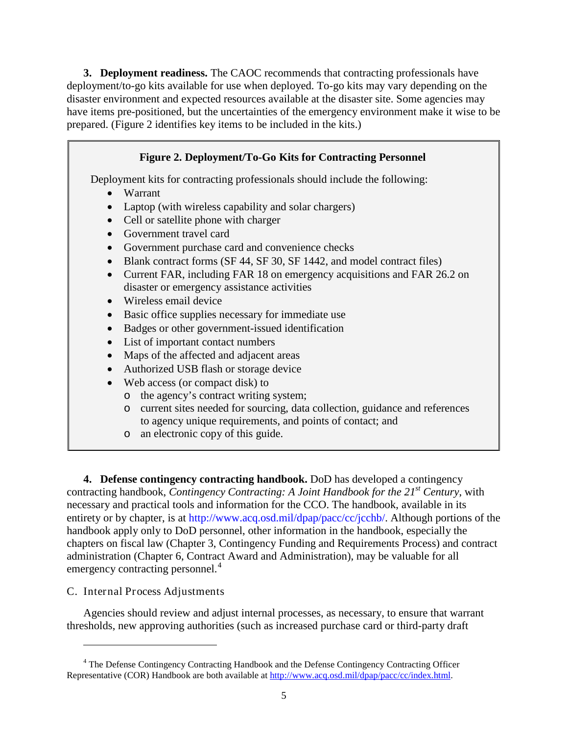**3. Deployment readiness.** The CAOC recommends that contracting professionals have deployment/to-go kits available for use when deployed. To-go kits may vary depending on the disaster environment and expected resources available at the disaster site. Some agencies may have items pre-positioned, but the uncertainties of the emergency environment make it wise to be prepared. (Figure 2 identifies key items to be included in the kits.)

#### **Figure 2. Deployment/To-Go Kits for Contracting Personnel**

Deployment kits for contracting professionals should include the following:

- Warrant
- Laptop (with wireless capability and solar chargers)
- Cell or satellite phone with charger
- Government travel card
- Government purchase card and convenience checks
- Blank contract forms (SF 44, SF 30, SF 1442, and model contract files)
- Current FAR, including FAR 18 on emergency acquisitions and FAR 26.2 on disaster or emergency assistance activities
- Wireless email device
- Basic office supplies necessary for immediate use
- Badges or other government-issued identification
- List of important contact numbers
- Maps of the affected and adjacent areas
- Authorized USB flash or storage device
- Web access (or compact disk) to
	- o the agency's contract writing system;
	- o current sites needed for sourcing, data collection, guidance and references to agency unique requirements, and points of contact; and
	- o an electronic copy of this guide.

**4. Defense contingency contracting handbook.** DoD has developed a contingency contracting handbook, *Contingency Contracting: A Joint Handbook for the 21st Century*, with necessary and practical tools and information for the CCO. The handbook, available in its entirety or by chapter, is at [http://www.acq.osd.mil/dpap/pacc/cc/jcchb/.](http://www.acq.osd.mil/dpap/pacc/cc/jcchb/) Although portions of the handbook apply only to DoD personnel, other information in the handbook, especially the chapters on fiscal law (Chapter 3, Contingency Funding and Requirements Process) and contract administration (Chapter 6, Contract Award and Administration), may be valuable for all emergency contracting personnel.<sup>[4](#page-7-0)</sup>

#### C. Internal Process Adjustments

 $\overline{a}$ 

Agencies should review and adjust internal processes, as necessary, to ensure that warrant thresholds, new approving authorities (such as increased purchase card or third-party draft

<span id="page-7-0"></span><sup>4</sup> The Defense Contingency Contracting Handbook and the Defense Contingency Contracting Officer Representative (COR) Handbook are both available at [http://www.acq.osd.mil/dpap/pacc/cc/index.html.](https://owa.lmi.org/owa/redir.aspx?C=06bcd1f6380f448cb21bd61f7c1bd507&URL=http%3a%2f%2fwww.acq.osd.mil%2fdpap%2fpacc%2fcc%2findex.html)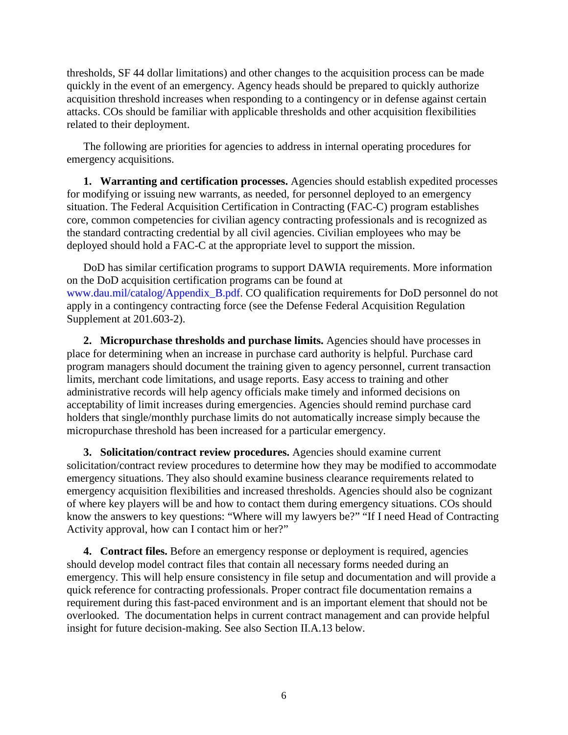thresholds, SF 44 dollar limitations) and other changes to the acquisition process can be made quickly in the event of an emergency. Agency heads should be prepared to quickly authorize acquisition threshold increases when responding to a contingency or in defense against certain attacks. COs should be familiar with applicable thresholds and other acquisition flexibilities related to their deployment.

The following are priorities for agencies to address in internal operating procedures for emergency acquisitions.

**1. Warranting and certification processes.** Agencies should establish expedited processes for modifying or issuing new warrants, as needed, for personnel deployed to an emergency situation. The Federal Acquisition Certification in Contracting (FAC-C) program establishes core, common competencies for civilian agency contracting professionals and is recognized as the standard contracting credential by all civil agencies. Civilian employees who may be deployed should hold a FAC-C at the appropriate level to support the mission.

DoD has similar certification programs to support DAWIA requirements. More information on the DoD acquisition certification programs can be found at [www.dau.mil/catalog/Appendix\\_B.pdf.](http://www.dau.mil/catalog/Appendix_B.pdf) CO qualification requirements for DoD personnel do not apply in a contingency contracting force (see the Defense Federal Acquisition Regulation Supplement at 201.603-2).

**2. Micropurchase thresholds and purchase limits.** Agencies should have processes in place for determining when an increase in purchase card authority is helpful. Purchase card program managers should document the training given to agency personnel, current transaction limits, merchant code limitations, and usage reports. Easy access to training and other administrative records will help agency officials make timely and informed decisions on acceptability of limit increases during emergencies. Agencies should remind purchase card holders that single/monthly purchase limits do not automatically increase simply because the micropurchase threshold has been increased for a particular emergency.

**3. Solicitation/contract review procedures.** Agencies should examine current solicitation/contract review procedures to determine how they may be modified to accommodate emergency situations. They also should examine business clearance requirements related to emergency acquisition flexibilities and increased thresholds. Agencies should also be cognizant of where key players will be and how to contact them during emergency situations. COs should know the answers to key questions: "Where will my lawyers be?" "If I need Head of Contracting Activity approval, how can I contact him or her?"

**4. Contract files.** Before an emergency response or deployment is required, agencies should develop model contract files that contain all necessary forms needed during an emergency. This will help ensure consistency in file setup and documentation and will provide a quick reference for contracting professionals. Proper contract file documentation remains a requirement during this fast-paced environment and is an important element that should not be overlooked. The documentation helps in current contract management and can provide helpful insight for future decision-making. See also Section II.A.13 below.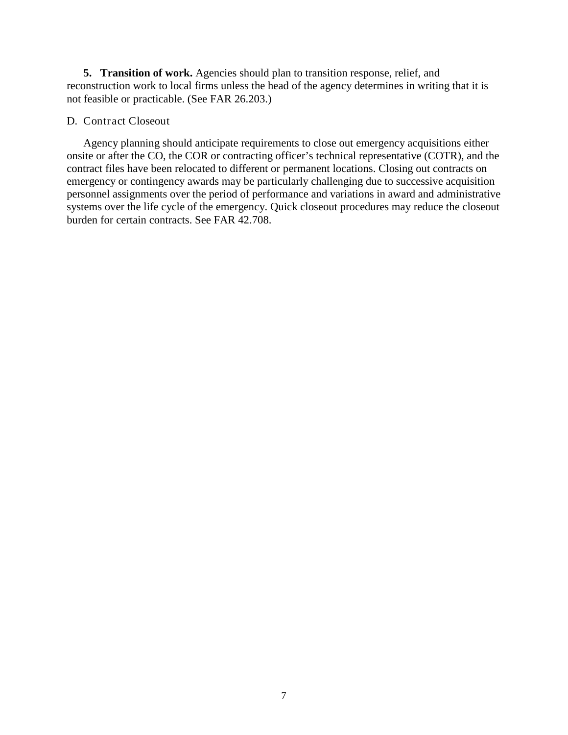**5. Transition of work.** Agencies should plan to transition response, relief, and reconstruction work to local firms unless the head of the agency determines in writing that it is not feasible or practicable. (See FAR 26.203.)

#### D. Contract Closeout

Agency planning should anticipate requirements to close out emergency acquisitions either onsite or after the CO, the COR or contracting officer's technical representative (COTR), and the contract files have been relocated to different or permanent locations. Closing out contracts on emergency or contingency awards may be particularly challenging due to successive acquisition personnel assignments over the period of performance and variations in award and administrative systems over the life cycle of the emergency. Quick closeout procedures may reduce the closeout burden for certain contracts. See FAR 42.708.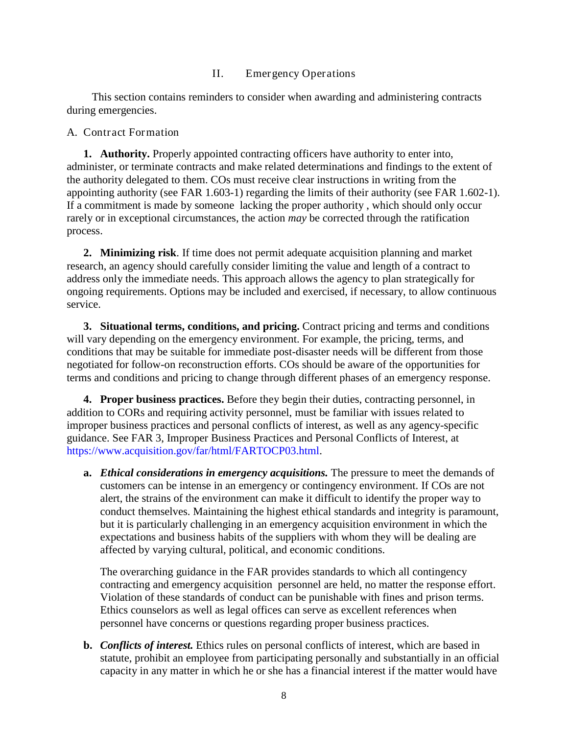#### II. Emergency Operations

This section contains reminders to consider when awarding and administering contracts during emergencies.

#### A. Contract Formation

**1. Authority.** Properly appointed contracting officers have authority to enter into, administer, or terminate contracts and make related determinations and findings to the extent of the authority delegated to them. COs must receive clear instructions in writing from the appointing authority (see FAR [1.603-1\)](http://farsite.hill.af.mil/otcgi/llscgi60.exe?ACTION=Highlight&SORTBY=%54%49%54%4C%45&QUERY=%72%61%74%69%66%69%63%61%74%69%6F%6E&OP=and&DB=0&SUBSET=SUBSET&FROM=1&SIZE=50&ITEM=1#P828_44638) regarding the limits of their authority (see FAR 1.602-1). If a commitment is made by someone lacking the proper authority , which should only occur rarely or in exceptional circumstances, the action *may* be corrected through the ratification process.

**2. Minimizing risk**. If time does not permit adequate acquisition planning and market research, an agency should carefully consider limiting the value and length of a contract to address only the immediate needs. This approach allows the agency to plan strategically for ongoing requirements. Options may be included and exercised, if necessary, to allow continuous service.

**3. Situational terms, conditions, and pricing.** Contract pricing and terms and conditions will vary depending on the emergency environment. For example, the pricing, terms, and conditions that may be suitable for immediate post-disaster needs will be different from those negotiated for follow-on reconstruction efforts. COs should be aware of the opportunities for terms and conditions and pricing to change through different phases of an emergency response.

**4. Proper business practices.** Before they begin their duties, contracting personnel, in addition to CORs and requiring activity personnel, must be familiar with issues related to improper business practices and personal conflicts of interest, as well as any agency-specific guidance. See FAR 3, Improper Business Practices and Personal Conflicts of Interest, at [https://www.acquisition.gov/far/html/FARTOCP03.html.](https://www.acquisition.gov/far/html/FARTOCP03.html)

**a.** *Ethical considerations in emergency acquisitions.* The pressure to meet the demands of customers can be intense in an emergency or contingency environment. If COs are not alert, the strains of the environment can make it difficult to identify the proper way to conduct themselves. Maintaining the highest ethical standards and integrity is paramount, but it is particularly challenging in an emergency acquisition environment in which the expectations and business habits of the suppliers with whom they will be dealing are affected by varying cultural, political, and economic conditions.

The overarching guidance in the FAR provides standards to which all contingency contracting and emergency acquisition personnel are held, no matter the response effort. Violation of these standards of conduct can be punishable with fines and prison terms. Ethics counselors as well as legal offices can serve as excellent references when personnel have concerns or questions regarding proper business practices.

**b.** *Conflicts of interest.* Ethics rules on personal conflicts of interest, which are based in statute, prohibit an employee from participating personally and substantially in an official capacity in any matter in which he or she has a financial interest if the matter would have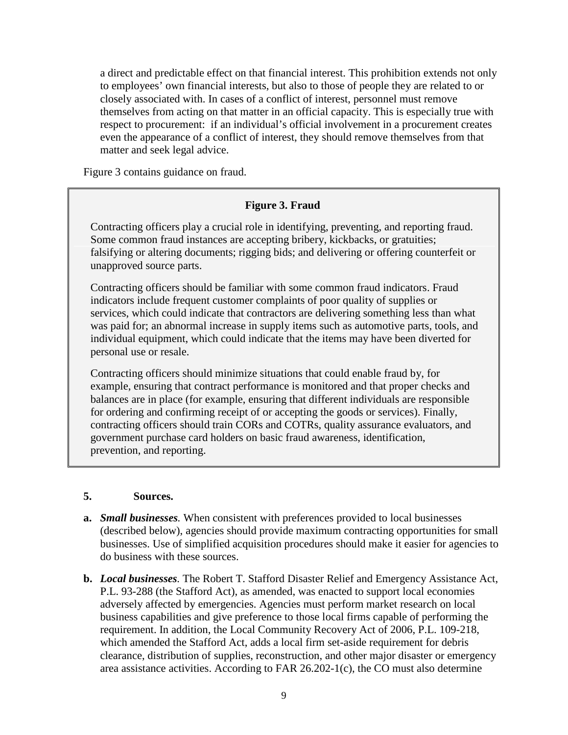a direct and predictable effect on that financial interest. This prohibition extends not only to employees' own financial interests, but also to those of people they are related to or closely associated with. In cases of a conflict of interest, personnel must remove themselves from acting on that matter in an official capacity. This is especially true with respect to procurement: if an individual's official involvement in a procurement creates even the appearance of a conflict of interest, they should remove themselves from that matter and seek legal advice.

Figure 3 contains guidance on fraud.

#### **Figure 3. Fraud**

Contracting officers play a crucial role in identifying, preventing, and reporting fraud. Some common fraud instances are accepting bribery, kickbacks, or gratuities; falsifying or altering documents; rigging bids; and delivering or offering counterfeit or unapproved source parts.

Contracting officers should be familiar with some common fraud indicators. Fraud indicators include frequent customer complaints of poor quality of supplies or services, which could indicate that contractors are delivering something less than what was paid for; an abnormal increase in supply items such as automotive parts, tools, and individual equipment, which could indicate that the items may have been diverted for personal use or resale.

Contracting officers should minimize situations that could enable fraud by, for example, ensuring that contract performance is monitored and that proper checks and balances are in place (for example, ensuring that different individuals are responsible for ordering and confirming receipt of or accepting the goods or services). Finally, contracting officers should train CORs and COTRs, quality assurance evaluators, and government purchase card holders on basic fraud awareness, identification, prevention, and reporting.

#### **5. Sources.**

- **a.** *Small businesses.* When consistent with preferences provided to local businesses (described below), agencies should provide maximum contracting opportunities for small businesses. Use of simplified acquisition procedures should make it easier for agencies to do business with these sources.
- **b.** *Local businesses.* The Robert T. Stafford Disaster Relief and Emergency Assistance Act, P.L. 93-288 (the Stafford Act), as amended, was enacted to support local economies adversely affected by emergencies. Agencies must perform market research on local business capabilities and give preference to those local firms capable of performing the requirement. In addition, the Local Community Recovery Act of 2006, P.L. 109-218, which amended the Stafford Act, adds a local firm set-aside requirement for debris clearance, distribution of supplies, reconstruction, and other major disaster or emergency area assistance activities. According to FAR 26.202-1(c), the CO must also determine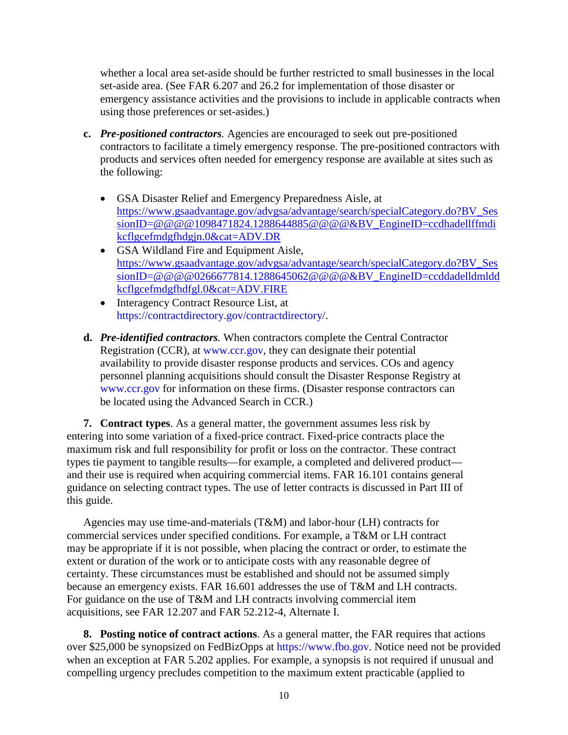whether a local area set-aside should be further restricted to small businesses in the local set-aside area. (See FAR 6.207 and 26.2 for implementation of those disaster or emergency assistance activities and the provisions to include in applicable contracts when using those preferences or set-asides.)

- **c.** *Pre-positioned contractors.* Agencies are encouraged to seek out pre-positioned contractors to facilitate a timely emergency response. The pre-positioned contractors with products and services often needed for emergency response are available at sites such as the following:
	- GSA Disaster Relief and Emergency Preparedness Aisle, at [https://www.gsaadvantage.gov/advgsa/advantage/search/specialCategory.do?BV\\_Ses](https://www.gsaadvantage.gov/advgsa/advantage/search/specialCategory.do?BV_SessionID=@@@@1098471824.1288644885@@@@&BV_EngineID=ccdhadellffmdikcflgcefmdgfhdgjn.0&cat=ADV.DR) [sionID=@@@@1098471824.1288644885@@@@&BV\\_EngineID=ccdhadellffmdi](https://www.gsaadvantage.gov/advgsa/advantage/search/specialCategory.do?BV_SessionID=@@@@1098471824.1288644885@@@@&BV_EngineID=ccdhadellffmdikcflgcefmdgfhdgjn.0&cat=ADV.DR) [kcflgcefmdgfhdgjn.0&cat=ADV.DR](https://www.gsaadvantage.gov/advgsa/advantage/search/specialCategory.do?BV_SessionID=@@@@1098471824.1288644885@@@@&BV_EngineID=ccdhadellffmdikcflgcefmdgfhdgjn.0&cat=ADV.DR)
	- GSA Wildland Fire and Equipment Aisle, [https://www.gsaadvantage.gov/advgsa/advantage/search/specialCategory.do?BV\\_Ses](https://www.gsaadvantage.gov/advgsa/advantage/search/specialCategory.do?BV_SessionID=@@@@0266677814.1288645062@@@@&BV_EngineID=ccddadelldmlddkcflgcefmdgfhdfgl.0&cat=ADV.FIRE) [sionID=@@@@0266677814.1288645062@@@@&BV\\_EngineID=ccddadelldmldd](https://www.gsaadvantage.gov/advgsa/advantage/search/specialCategory.do?BV_SessionID=@@@@0266677814.1288645062@@@@&BV_EngineID=ccddadelldmlddkcflgcefmdgfhdfgl.0&cat=ADV.FIRE) [kcflgcefmdgfhdfgl.0&cat=ADV.FIRE](https://www.gsaadvantage.gov/advgsa/advantage/search/specialCategory.do?BV_SessionID=@@@@0266677814.1288645062@@@@&BV_EngineID=ccddadelldmlddkcflgcefmdgfhdfgl.0&cat=ADV.FIRE)
	- Interagency Contract Resource List, at [https://contractdirectory.gov/contractdirectory/.](https://contractdirectory.gov/contractdirectory/)
- **d.** *Pre-identified contractors.* When contractors complete the Central Contractor Registration (CCR), at [www.ccr.gov,](http://www.ccr.gov/) they can designate their potential availability to provide disaster response products and services. COs and agency personnel planning acquisitions should consult the Disaster Response Registry at [www.ccr.gov](http://www.ccr.gov/) for information on these firms. (Disaster response contractors can be located using the Advanced Search in CCR.)

**7. Contract types**. As a general matter, the government assumes less risk by entering into some variation of a fixed-price contract. Fixed-price contracts place the maximum risk and full responsibility for profit or loss on the contractor. These contract types tie payment to tangible results—for example, a completed and delivered product and their use is required when acquiring commercial items. FAR 16.101 contains general guidance on selecting contract types. The use of letter contracts is discussed in Part III of this guide.

Agencies may use time-and-materials (T&M) and labor-hour (LH) contracts for commercial services under specified conditions. For example, a T&M or LH contract may be appropriate if it is not possible, when placing the contract or order, to estimate the extent or duration of the work or to anticipate costs with any reasonable degree of certainty. These circumstances must be established and should not be assumed simply because an emergency exists. FAR 16.601 addresses the use of T&M and LH contracts. For guidance on the use of T&M and LH contracts involving commercial item acquisitions, see FAR 12.207 and FAR 52.212-4, Alternate I.

**8. Posting notice of contract actions**. As a general matter, the FAR requires that actions over \$25,000 be synopsized on FedBizOpps at [https://www.fbo.gov.](https://www.fbo.gov/) Notice need not be provided when an exception at FAR 5.202 applies. For example, a synopsis is not required if unusual and compelling urgency precludes competition to the maximum extent practicable (applied to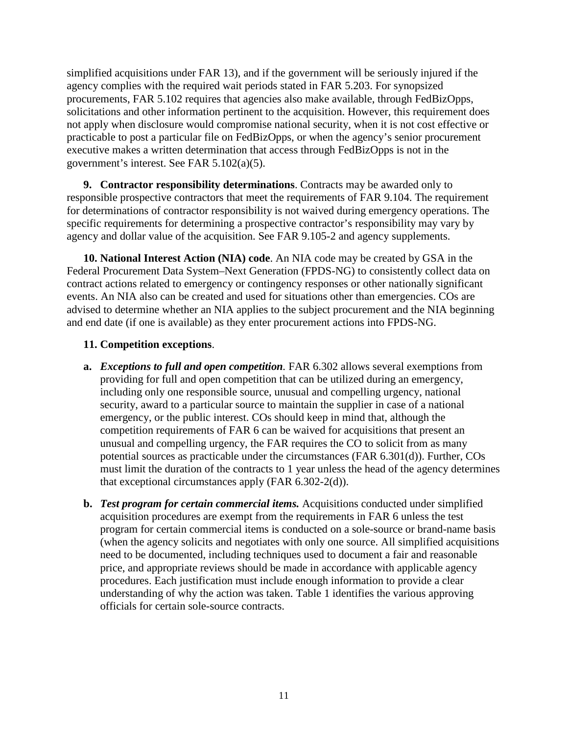simplified acquisitions under FAR 13), and if the government will be seriously injured if the agency complies with the required wait periods stated in FAR 5.203. For synopsized procurements, FAR 5.102 requires that agencies also make available, through FedBizOpps, solicitations and other information pertinent to the acquisition. However, this requirement does not apply when disclosure would compromise national security, when it is not cost effective or practicable to post a particular file on FedBizOpps, or when the agency's senior procurement executive makes a written determination that access through FedBizOpps is not in the government's interest. See FAR 5.102(a)(5).

**9. Contractor responsibility determinations**. Contracts may be awarded only to responsible prospective contractors that meet the requirements of FAR 9.104. The requirement for determinations of contractor responsibility is not waived during emergency operations. The specific requirements for determining a prospective contractor's responsibility may vary by agency and dollar value of the acquisition. See FAR 9.105-2 and agency supplements.

**10. National Interest Action (NIA) code**. An NIA code may be created by GSA in the Federal Procurement Data System–Next Generation (FPDS-NG) to consistently collect data on contract actions related to emergency or contingency responses or other nationally significant events. An NIA also can be created and used for situations other than emergencies. COs are advised to determine whether an NIA applies to the subject procurement and the NIA beginning and end date (if one is available) as they enter procurement actions into FPDS-NG.

#### **11. Competition exceptions**.

- **a.** *Exceptions to full and open competition.* FAR 6.302 allows several exemptions from providing for full and open competition that can be utilized during an emergency, including only one responsible source, unusual and compelling urgency, national security, award to a particular source to maintain the supplier in case of a national emergency, or the public interest. COs should keep in mind that, although the competition requirements of FAR 6 can be waived for acquisitions that present an unusual and compelling urgency, the FAR requires the CO to solicit from as many potential sources as practicable under the circumstances (FAR 6.301(d)). Further, COs must limit the duration of the contracts to 1 year unless the head of the agency determines that exceptional circumstances apply (FAR 6.302-2(d)).
- **b.** *Test program for certain commercial items.* Acquisitions conducted under simplified acquisition procedures are exempt from the requirements in FA[R 6](https://www.acquisition.gov/far/current/html/FARTOCP06.html#wp280339) unless the test program for certain commercial items is conducted on a sole-source or brand-name basis (when the agency solicits and negotiates with only one source. All simplified acquisitions need to be documented, including techniques used to document a fair and reasonable price, and appropriate reviews should be made in accordance with applicable agency procedures. Each justification must include enough information to provide a clear understanding of why the action was taken. Table 1 identifies the various approving officials for certain sole-source contracts.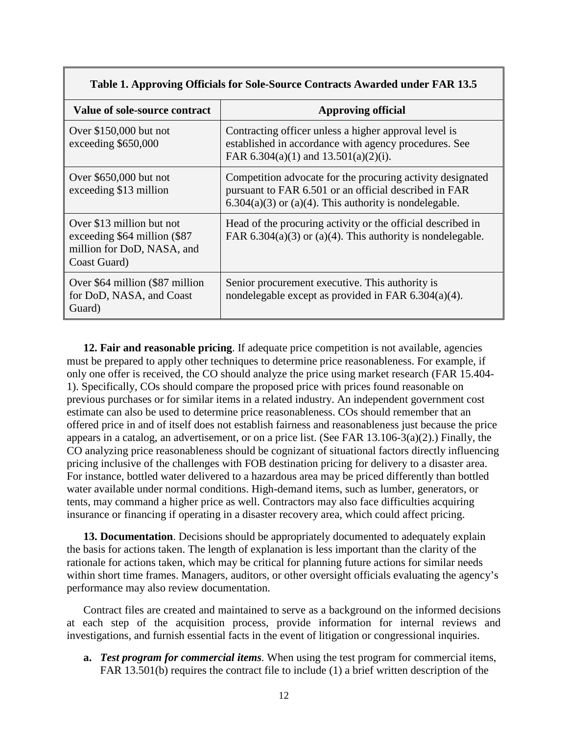| Value of sole-source contract                                                                            | <b>Approving official</b>                                                                                                                                                          |  |
|----------------------------------------------------------------------------------------------------------|------------------------------------------------------------------------------------------------------------------------------------------------------------------------------------|--|
| Over $$150,000$ but not<br>exceeding \$650,000                                                           | Contracting officer unless a higher approval level is<br>established in accordance with agency procedures. See<br>FAR 6.304(a)(1) and 13.501(a)(2)(i).                             |  |
| Over \$650,000 but not<br>exceeding \$13 million                                                         | Competition advocate for the procuring activity designated<br>pursuant to FAR 6.501 or an official described in FAR<br>$6.304(a)(3)$ or $(a)(4)$ . This authority is nondelegable. |  |
| Over \$13 million but not<br>exceeding \$64 million (\$87)<br>million for DoD, NASA, and<br>Coast Guard) | Head of the procuring activity or the official described in<br>FAR $6.304(a)(3)$ or $(a)(4)$ . This authority is nondelegable.                                                     |  |
| Over \$64 million (\$87 million<br>for DoD, NASA, and Coast<br>Guard)                                    | Senior procurement executive. This authority is<br>nondelegable except as provided in FAR $6.304(a)(4)$ .                                                                          |  |

**12. Fair and reasonable pricing**. If adequate price competition is not available, agencies must be prepared to apply other techniques to determine price reasonableness. For example, if only one offer is received, the CO should analyze the price using market research (FAR 15.404- 1). Specifically, COs should compare the proposed price with prices found reasonable on previous purchases or for similar items in a related industry. An independent government cost estimate can also be used to determine price reasonableness. COs should remember that an offered price in and of itself does not establish fairness and reasonableness just because the price appears in a catalog, an advertisement, or on a price list. (See FAR 13.106-3(a)(2).) Finally, the CO analyzing price reasonableness should be cognizant of situational factors directly influencing pricing inclusive of the challenges with FOB destination pricing for delivery to a disaster area. For instance, bottled water delivered to a hazardous area may be priced differently than bottled water available under normal conditions. High-demand items, such as lumber, generators, or tents, may command a higher price as well. Contractors may also face difficulties acquiring insurance or financing if operating in a disaster recovery area, which could affect pricing.

**13. Documentation**. Decisions should be appropriately documented to adequately explain the basis for actions taken. The length of explanation is less important than the clarity of the rationale for actions taken, which may be critical for planning future actions for similar needs within short time frames. Managers, auditors, or other oversight officials evaluating the agency's performance may also review documentation.

Contract files are created and maintained to serve as a background on the informed decisions at each step of the acquisition process, provide information for internal reviews and investigations, and furnish essential facts in the event of litigation or congressional inquiries.

**a.** *Test program for commercial items.* When using the test program for commercial items, FAR 13.501(b) requires the contract file to include (1) a brief written description of the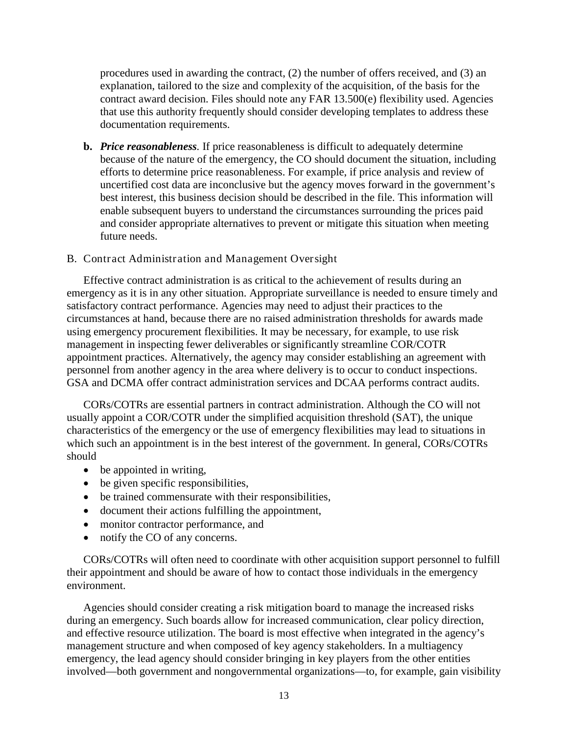procedures used in awarding the contract, (2) the number of offers received, and (3) an explanation, tailored to the size and complexity of the acquisition, of the basis for the contract award decision. Files should note any FAR 13.500(e) flexibility used. Agencies that use this authority frequently should consider developing templates to address these documentation requirements.

**b.** *Price reasonableness.* If price reasonableness is difficult to adequately determine because of the nature of the emergency, the CO should document the situation, including efforts to determine price reasonableness. For example, if price analysis and review of uncertified cost data are inconclusive but the agency moves forward in the government's best interest, this business decision should be described in the file. This information will enable subsequent buyers to understand the circumstances surrounding the prices paid and consider appropriate alternatives to prevent or mitigate this situation when meeting future needs.

#### B. Contract Administration and Management Oversight

Effective contract administration is as critical to the achievement of results during an emergency as it is in any other situation. Appropriate surveillance is needed to ensure timely and satisfactory contract performance. Agencies may need to adjust their practices to the circumstances at hand, because there are no raised administration thresholds for awards made using emergency procurement flexibilities. It may be necessary, for example, to use risk management in inspecting fewer deliverables or significantly streamline COR/COTR appointment practices. Alternatively, the agency may consider establishing an agreement with personnel from another agency in the area where delivery is to occur to conduct inspections. GSA and DCMA offer contract administration services and DCAA performs contract audits.

CORs/COTRs are essential partners in contract administration. Although the CO will not usually appoint a COR/COTR under the simplified acquisition threshold (SAT), the unique characteristics of the emergency or the use of emergency flexibilities may lead to situations in which such an appointment is in the best interest of the government. In general, CORs/COTRs should

- be appointed in writing,
- be given specific responsibilities,
- be trained commensurate with their responsibilities,
- document their actions fulfilling the appointment,
- monitor contractor performance, and
- notify the CO of any concerns.

CORs/COTRs will often need to coordinate with other acquisition support personnel to fulfill their appointment and should be aware of how to contact those individuals in the emergency environment.

Agencies should consider creating a risk mitigation board to manage the increased risks during an emergency. Such boards allow for increased communication, clear policy direction, and effective resource utilization. The board is most effective when integrated in the agency's management structure and when composed of key agency stakeholders. In a multiagency emergency, the lead agency should consider bringing in key players from the other entities involved—both government and nongovernmental organizations—to, for example, gain visibility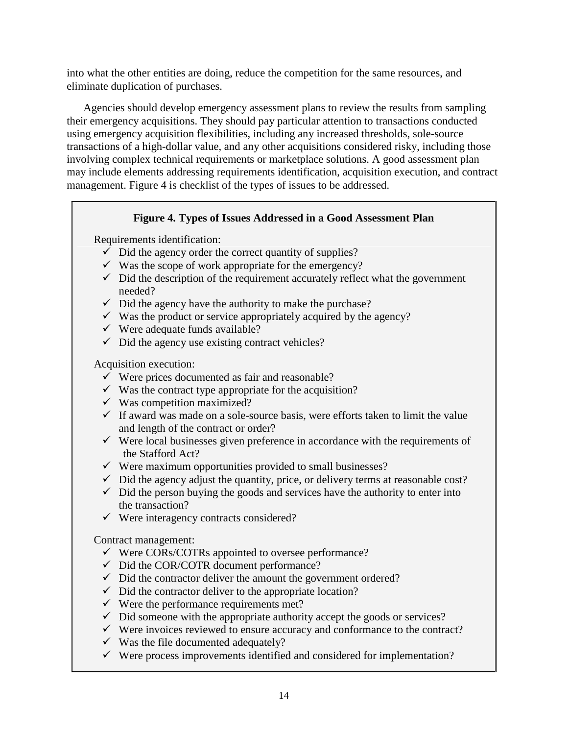into what the other entities are doing, reduce the competition for the same resources, and eliminate duplication of purchases.

Agencies should develop emergency assessment plans to review the results from sampling their emergency acquisitions. They should pay particular attention to transactions conducted using emergency acquisition flexibilities, including any increased thresholds, sole-source transactions of a high-dollar value, and any other acquisitions considered risky, including those involving complex technical requirements or marketplace solutions. A good assessment plan may include elements addressing requirements identification, acquisition execution, and contract management. Figure 4 is checklist of the types of issues to be addressed.

#### **Figure 4. Types of Issues Addressed in a Good Assessment Plan**

Requirements identification:

- $\checkmark$  Did the agency order the correct quantity of supplies?
- $\checkmark$  Was the scope of work appropriate for the emergency?
- $\checkmark$  Did the description of the requirement accurately reflect what the government needed?
- $\checkmark$  Did the agency have the authority to make the purchase?
- $\checkmark$  Was the product or service appropriately acquired by the agency?
- $\checkmark$  Were adequate funds available?
- $\checkmark$  Did the agency use existing contract vehicles?

Acquisition execution:

- $\checkmark$  Were prices documented as fair and reasonable?
- $\checkmark$  Was the contract type appropriate for the acquisition?
- $\checkmark$  Was competition maximized?
- $\checkmark$  If award was made on a sole-source basis, were efforts taken to limit the value and length of the contract or order?
- $\checkmark$  Were local businesses given preference in accordance with the requirements of the Stafford Act?
- $\checkmark$  Were maximum opportunities provided to small businesses?
- $\checkmark$  Did the agency adjust the quantity, price, or delivery terms at reasonable cost?
- $\checkmark$  Did the person buying the goods and services have the authority to enter into the transaction?
- $\checkmark$  Were interagency contracts considered?

Contract management:

- $\checkmark$  Were CORs/COTRs appointed to oversee performance?
- Did the COR/COTR document performance?
- $\checkmark$  Did the contractor deliver the amount the government ordered?
- $\checkmark$  Did the contractor deliver to the appropriate location?
- $\checkmark$  Were the performance requirements met?
- $\checkmark$  Did someone with the appropriate authority accept the goods or services?
- $\checkmark$  Were invoices reviewed to ensure accuracy and conformance to the contract?
- $\checkmark$  Was the file documented adequately?
- $\checkmark$  Were process improvements identified and considered for implementation?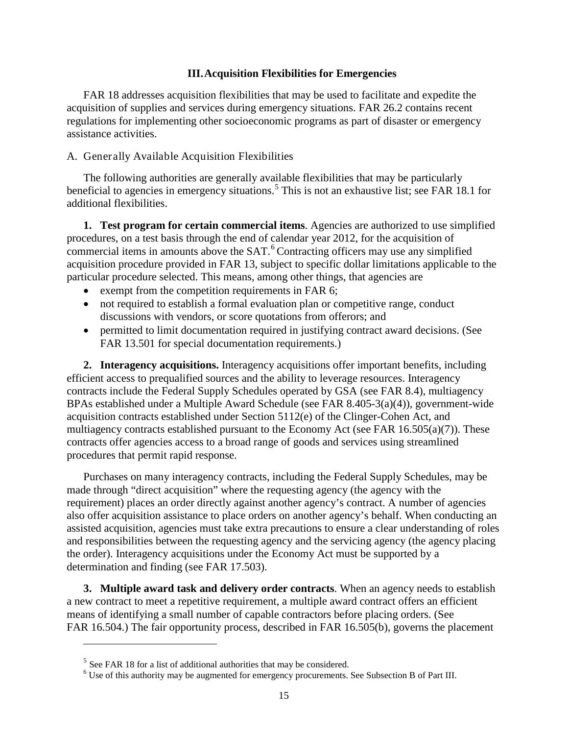#### **III.Acquisition Flexibilities for Emergencies**

FAR 18 addresses acquisition flexibilities that may be used to facilitate and expedite the acquisition of supplies and services during emergency situations. FAR 26.2 contains recent regulations for implementing other socioeconomic programs as part of disaster or emergency assistance activities.

#### A. Generally Available Acquisition Flexibilities

The following authorities are generally available flexibilities that may be particularly beneficial to agencies in emergency situations.<sup>[5](#page-17-0)</sup> This is not an exhaustive list; see FAR 18.1 for additional flexibilities.

**1. Test program for certain commercial items**. Agencies are authorized to use simplified procedures, on a test basis through the end of calendar year 2012, for the acquisition of commercial items in amounts above the SAT. [6](#page-17-1) Contracting officers may use any simplified acquisition procedure provided in FAR 13, subject to specific dollar limitations applicable to the particular procedure selected. This means, among other things, that agencies are

- exempt from the competition requirements in FAR 6;
- not required to establish a formal evaluation plan or competitive range, conduct discussions with vendors, or score quotations from offerors; and
- permitted to limit documentation required in justifying contract award decisions. (See FAR 13.501 for special documentation requirements.)

**2. Interagency acquisitions.** Interagency acquisitions offer important benefits, including efficient access to prequalified sources and the ability to leverage resources. Interagency contracts include the Federal Supply Schedules operated by GSA (see FAR 8.4), multiagency BPAs established under a Multiple Award Schedule (see FAR 8.405-3(a)(4)), government-wide acquisition contracts established under Section 5112(e) of the Clinger-Cohen Act, and multiagency contracts established pursuant to the Economy Act (see FAR 16.505(a)(7)). These contracts offer agencies access to a broad range of goods and services using streamlined procedures that permit rapid response.

Purchases on many interagency contracts, including the Federal Supply Schedules, may be made through "direct acquisition" where the requesting agency (the agency with the requirement) places an order directly against another agency's contract. A number of agencies also offer acquisition assistance to place orders on another agency's behalf. When conducting an assisted acquisition, agencies must take extra precautions to ensure a clear understanding of roles and responsibilities between the requesting agency and the servicing agency (the agency placing the order). Interagency acquisitions under the Economy Act must be supported by a determination and finding (see FAR 17.503).

**3. Multiple award task and delivery order contracts**. When an agency needs to establish a new contract to meet a repetitive requirement, a multiple award contract offers an efficient means of identifying a small number of capable contractors before placing orders. (See FAR 16.504.) The fair opportunity process, described in FAR 16.505(b), governs the placement

 $\ddot{\phantom{a}}$ 

<span id="page-17-1"></span><span id="page-17-0"></span><sup>&</sup>lt;sup>5</sup> See FAR 18 for a list of additional authorities that may be considered.<br><sup>6</sup> Use of this authority may be augmented for emergency procurements. See Subsection B of Part III.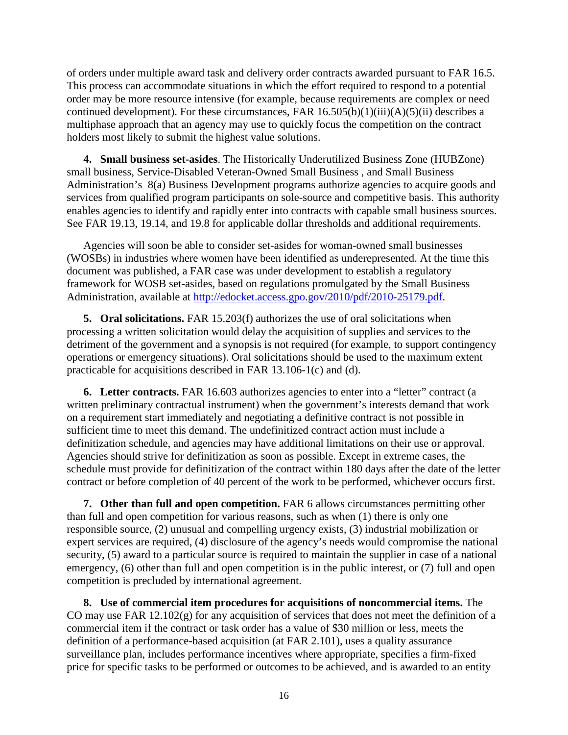of orders under multiple award task and delivery order contracts awarded pursuant to FAR 16.5. This process can accommodate situations in which the effort required to respond to a potential order may be more resource intensive (for example, because requirements are complex or need continued development). For these circumstances, FAR 16.505(b)(1)(iii)(A)(5)(ii) describes a multiphase approach that an agency may use to quickly focus the competition on the contract holders most likely to submit the highest value solutions.

**4. Small business set-asides**. The Historically Underutilized Business Zone (HUBZone) small business, Service-Disabled Veteran-Owned Small Business , and Small Business Administration's 8(a) Business Development programs authorize agencies to acquire goods and services from qualified program participants on sole-source and competitive basis. This authority enables agencies to identify and rapidly enter into contracts with capable small business sources. See FAR 19.13, 19.14, and 19.8 for applicable dollar thresholds and additional requirements.

Agencies will soon be able to consider set-asides for woman-owned small businesses (WOSBs) in industries where women have been identified as underepresented. At the time this document was published, a FAR case was under development to establish a regulatory framework for WOSB set-asides, based on regulations promulgated by the Small Business Administration, available at [http://edocket.access.gpo.gov/2010/pdf/2010-25179.pdf.](http://edocket.access.gpo.gov/2010/pdf/2010-25179.pdf)

**5. Oral solicitations.** FAR 15.203(f) authorizes the use of oral solicitations when processing a written solicitation would delay the acquisition of supplies and services to the detriment of the government and a synopsis is not required (for example, to support contingency operations or emergency situations). Oral solicitations should be used to the maximum extent practicable for acquisitions described in FAR 13.106-1(c) and (d).

**6. Letter contracts.** FAR 16.603 authorizes agencies to enter into a "letter" contract (a written preliminary contractual instrument) when the government's interests demand that work on a requirement start immediately and negotiating a definitive contract is not possible in sufficient time to meet this demand. The undefinitized contract action must include a definitization schedule, and agencies may have additional limitations on their use or approval. Agencies should strive for definitization as soon as possible. Except in extreme cases, the schedule must provide for definitization of the contract within 180 days after the date of the letter contract or before completion of 40 percent of the work to be performed, whichever occurs first.

**7. Other than full and open competition.** FAR 6 allows circumstances permitting other than full and open competition for various reasons, such as when (1) there is only one responsible source, (2) unusual and compelling urgency exists, (3) industrial mobilization or expert services are required, (4) disclosure of the agency's needs would compromise the national security, (5) award to a particular source is required to maintain the supplier in case of a national emergency, (6) other than full and open competition is in the public interest, or (7) full and open competition is precluded by international agreement.

**8. Use of commercial item procedures for acquisitions of noncommercial items.** The CO may use FAR 12.102(g) for any acquisition of services that does not meet the definition of a commercial item if the contract or task order has a value of \$30 million or less, meets the definition of a performance-based acquisition (at FAR 2.101), uses a quality assurance surveillance plan, includes performance incentives where appropriate, specifies a firm-fixed price for specific tasks to be performed or outcomes to be achieved, and is awarded to an entity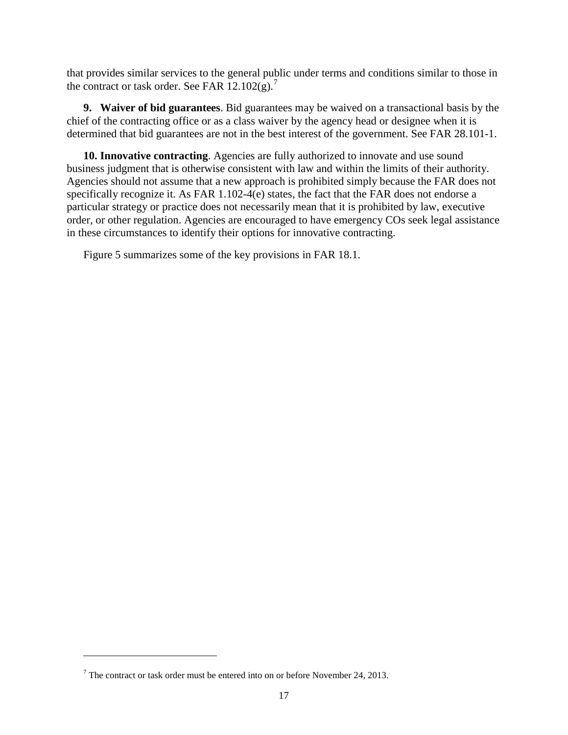that provides similar services to the general public under terms and conditions similar to those in the contract or task order. See FAR  $12.102(g)$ .<sup>[7](#page-19-0)</sup>

**9. Waiver of bid guarantees**. Bid guarantees may be waived on a transactional basis by the chief of the contracting office or as a class waiver by the agency head or designee when it is determined that bid guarantees are not in the best interest of the government. See FAR 28.101-1.

**10. Innovative contracting**. Agencies are fully authorized to innovate and use sound business judgment that is otherwise consistent with law and within the limits of their authority. Agencies should not assume that a new approach is prohibited simply because the FAR does not specifically recognize it. As FAR 1.102-4(e) states, the fact that the FAR does not endorse a particular strategy or practice does not necessarily mean that it is prohibited by law, executive order, or other regulation. Agencies are encouraged to have emergency COs seek legal assistance in these circumstances to identify their options for innovative contracting.

Figure 5 summarizes some of the key provisions in FAR 18.1.

 $\ddot{\phantom{a}}$ 

<span id="page-19-0"></span> $7$  The contract or task order must be entered into on or before November 24, 2013.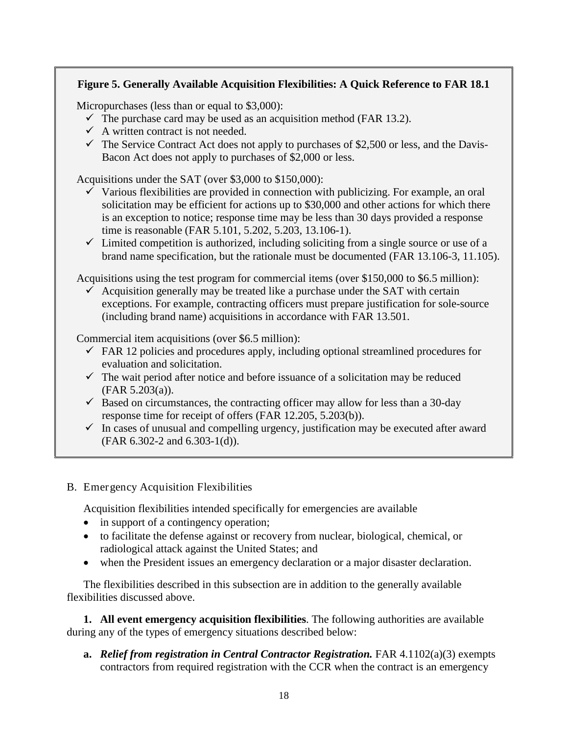#### **Figure 5. Generally Available Acquisition Flexibilities: A Quick Reference to FAR 18.1**

Micropurchases (less than or equal to \$3,000):

- $\checkmark$  The purchase card may be used as an acquisition method (FAR 13.2).
- $\checkmark$  A written contract is not needed.
- $\checkmark$  The Service Contract Act does not apply to purchases of \$2,500 or less, and the Davis-Bacon Act does not apply to purchases of \$2,000 or less.

Acquisitions under the SAT (over \$3,000 to \$150,000):

- $\checkmark$  Various flexibilities are provided in connection with publicizing. For example, an oral solicitation may be efficient for actions up to \$30,000 and other actions for which there is an exception to notice; response time may be less than 30 days provided a response time is reasonable (FAR 5.101, 5.202, 5.203, 13.106-1).
- $\checkmark$  Limited competition is authorized, including soliciting from a single source or use of a brand name specification, but the rationale must be documented (FAR 13.106-3, 11.105).

Acquisitions using the test program for commercial items (over \$150,000 to \$6.5 million):

 $\overline{\smash{\bigtriangledown}}$  Acquisition generally may be treated like a purchase under the SAT with certain exceptions. For example, contracting officers must prepare justification for sole-source (including brand name) acquisitions in accordance with FAR 13.501.

Commercial item acquisitions (over \$6.5 million):

- $\checkmark$  FAR 12 policies and procedures apply, including optional streamlined procedures for evaluation and solicitation.
- $\checkmark$  The wait period after notice and before issuance of a solicitation may be reduced (FAR 5.203(a)).
- $\checkmark$  Based on circumstances, the contracting officer may allow for less than a 30-day response time for receipt of offers (FAR 12.205, 5.203(b)).
- $\checkmark$  In cases of unusual and compelling urgency, justification may be executed after award (FAR 6.302-2 and 6.303-1(d)).
- B. Emergency Acquisition Flexibilities

Acquisition flexibilities intended specifically for emergencies are available

- in support of a contingency operation;
- to facilitate the defense against or recovery from nuclear, biological, chemical, or radiological attack against the United States; and
- when the President issues an emergency declaration or a major disaster declaration.

The flexibilities described in this subsection are in addition to the generally available flexibilities discussed above.

**1. All event emergency acquisition flexibilities**. The following authorities are available during any of the types of emergency situations described below:

**a.** *Relief from registration in Central Contractor Registration.* FAR 4.1102(a)(3) exempts contractors from required registration with the CCR when the contract is an emergency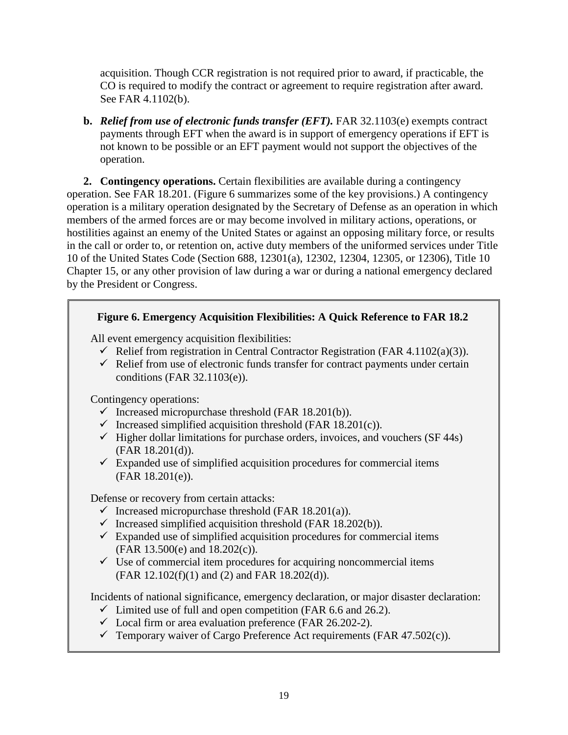acquisition. Though CCR registration is not required prior to award, if practicable, the CO is required to modify the contract or agreement to require registration after award. See FAR 4.1102(b).

**b.** *Relief from use of electronic funds transfer (EFT).* FAR 32.1103(e) exempts contract payments through EFT when the award is in support of emergency operations if EFT is not known to be possible or an EFT payment would not support the objectives of the operation.

**2. Contingency operations.** Certain flexibilities are available during a contingency operation. See FAR 18.201. (Figure 6 summarizes some of the key provisions.) A contingency operation is a military operation designated by the Secretary of Defense as an operation in which members of the armed forces are or may become involved in military actions, operations, or hostilities against an enemy of the United States or against an opposing military force, or results in the call or order to, or retention on, active duty members of the uniformed services under Title 10 of the United States Code (Section 688, 12301(a), 12302, 12304, 12305, or 12306), Title 10 Chapter 15, or any other provision of law during a war or during a national emergency declared by the President or Congress.

#### **Figure 6. Emergency Acquisition Flexibilities: A Quick Reference to FAR 18.2**

All event emergency acquisition flexibilities:

- Relief from registration in Central Contractor Registration (FAR 4.1102(a)(3)).
- $\checkmark$  Relief from use of electronic funds transfer for contract payments under certain conditions (FAR 32.1103(e)).

Contingency operations:

- $\checkmark$  Increased micropurchase threshold (FAR 18.201(b)).
- $\checkmark$  Increased simplified acquisition threshold (FAR 18.201(c)).
- $\checkmark$  Higher dollar limitations for purchase orders, invoices, and vouchers (SF 44s) (FAR 18.201(d)).
- $\checkmark$  Expanded use of simplified acquisition procedures for commercial items (FAR 18.201(e)).

Defense or recovery from certain attacks:

- $\checkmark$  Increased micropurchase threshold (FAR 18.201(a)).
- $\checkmark$  Increased simplified acquisition threshold (FAR 18.202(b)).
- $\checkmark$  Expanded use of simplified acquisition procedures for commercial items (FAR 13.500(e) and 18.202(c)).
- $\checkmark$  Use of commercial item procedures for acquiring noncommercial items (FAR 12.102(f)(1) and (2) and FAR 18.202(d)).

Incidents of national significance, emergency declaration, or major disaster declaration:

- $\checkmark$  Limited use of full and open competition (FAR 6.6 and 26.2).
- $\checkmark$  Local firm or area evaluation preference (FAR 26.202-2).
- $\checkmark$  Temporary waiver of Cargo Preference Act requirements (FAR 47.502(c)).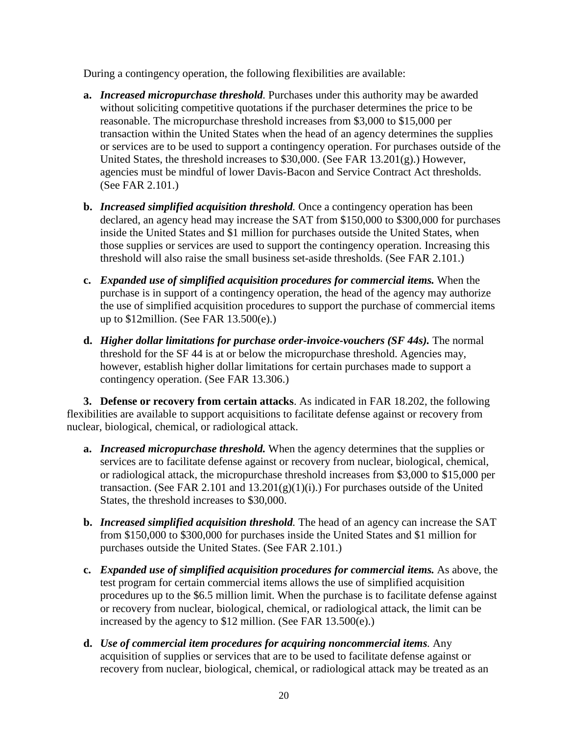During a contingency operation, the following flexibilities are available:

- **a.** *Increased micropurchase threshold.* Purchases under this authority may be awarded without soliciting competitive quotations if the purchaser determines the price to be reasonable. The micropurchase threshold increases from \$3,000 to \$15,000 per transaction within the United States when the head of an agency determines the supplies or services are to be used to support a contingency operation. For purchases outside of the United States, the threshold increases to \$30,000. (See FAR 13.201(g).) However, agencies must be mindful of lower Davis-Bacon and Service Contract Act thresholds. (See FAR 2.101.)
- **b.** *Increased simplified acquisition threshold.* Once a contingency operation has been declared, an agency head may increase the SAT from \$150,000 to \$300,000 for purchases inside the United States and \$1 million for purchases outside the United States, when those supplies or services are used to support the contingency operation. Increasing this threshold will also raise the small business set-aside thresholds. (See FAR 2.101.)
- **c.** *Expanded use of simplified acquisition procedures for commercial items.* When the purchase is in support of a contingency operation, the head of the agency may authorize the use of simplified acquisition procedures to support the purchase of commercial items up to \$12million. (See FAR 13.500(e).)
- **d.** *Higher dollar limitations for purchase order-invoice-vouchers (SF 44s).* The normal threshold for the SF 44 is at or below the micropurchase threshold. Agencies may, however, establish higher dollar limitations for certain purchases made to support a contingency operation. (See FAR 13.306.)

**3. Defense or recovery from certain attacks**. As indicated in FAR 18.202, the following flexibilities are available to support acquisitions to facilitate defense against or recovery from nuclear, biological, chemical, or radiological attack.

- **a.** *Increased micropurchase threshold.* When the agency determines that the supplies or services are to facilitate defense against or recovery from nuclear, biological, chemical, or radiological attack, the micropurchase threshold increases from \$3,000 to \$15,000 per transaction. (See FAR 2.101 and  $13.201(g)(1)(i)$ .) For purchases outside of the United States, the threshold increases to \$30,000.
- **b.** *Increased simplified acquisition threshold.* The head of an agency can increase the SAT from \$150,000 to \$300,000 for purchases inside the United States and \$1 million for purchases outside the United States. (See FAR 2.101.)
- **c.** *Expanded use of simplified acquisition procedures for commercial items.* As above, the test program for certain commercial items allows the use of simplified acquisition procedures up to the \$6.5 million limit. When the purchase is to facilitate defense against or recovery from nuclear, biological, chemical, or radiological attack, the limit can be increased by the agency to \$12 million. (See FAR 13.500(e).)
- **d.** *Use of commercial item procedures for acquiring noncommercial items.* Any acquisition of supplies or services that are to be used to facilitate defense against or recovery from nuclear, biological, chemical, or radiological attack may be treated as an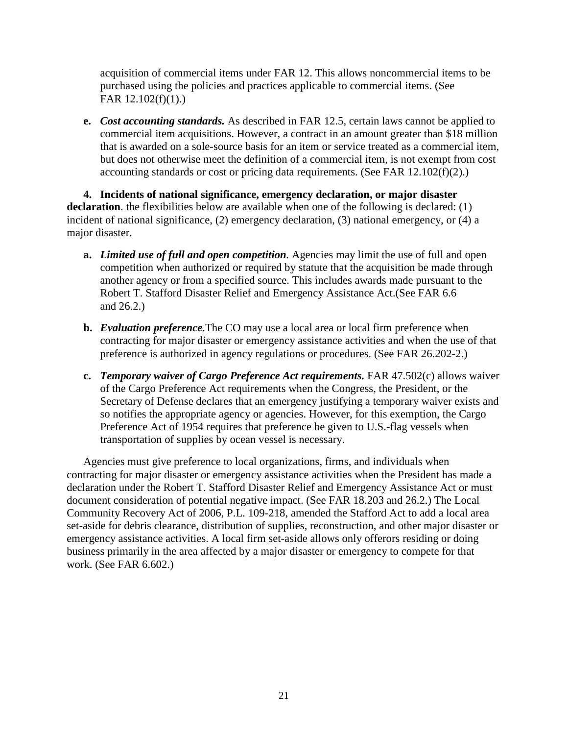acquisition of commercial items under FAR 12. This allows noncommercial items to be purchased using the policies and practices applicable to commercial items. (See FAR 12.102(f)(1).)

**e.** *Cost accounting standards.* As described in FAR 12.5, certain laws cannot be applied to commercial item acquisitions. However, a contract in an amount greater than \$18 million that is awarded on a sole-source basis for an item or service treated as a commercial item, but does not otherwise meet the definition of a commercial item, is not exempt from cost accounting standards or cost or pricing data requirements. (See FAR 12.102(f)(2).)

**4. Incidents of national significance, emergency declaration, or major disaster declaration**. the flexibilities below are available when one of the following is declared: (1) incident of national significance, (2) emergency declaration, (3) national emergency, or (4) a major disaster.

- **a.** *Limited use of full and open competition.* Agencies may limit the use of full and open competition when authorized or required by statute that the acquisition be made through another agency or from a specified source. This includes awards made pursuant to the Robert T. Stafford Disaster Relief and Emergency Assistance Act.(See FAR 6.6 and 26.2.)
- **b.** *Evaluation preference.*The CO may use a local area or local firm preference when contracting for major disaster or emergency assistance activities and when the use of that preference is authorized in agency regulations or procedures. (See FAR 26.202-2.)
- **c.** *Temporary waiver of Cargo Preference Act requirements.* FAR 47.502(c) allows waiver of the Cargo Preference Act requirements when the Congress, the President, or the Secretary of Defense declares that an emergency justifying a temporary waiver exists and so notifies the appropriate agency or agencies. However, for this exemption, the Cargo Preference Act of 1954 requires that preference be given to U.S.-flag vessels when transportation of supplies by ocean vessel is necessary.

Agencies must give preference to local organizations, firms, and individuals when contracting for major disaster or emergency assistance activities when the President has made a declaration under the Robert T. Stafford Disaster Relief and Emergency Assistance Act or must document consideration of potential negative impact. (See FAR 18.203 and 26.2.) The Local Community Recovery Act of 2006, P.L. 109-218, amended the Stafford Act to add a local area set-aside for debris clearance, distribution of supplies, reconstruction, and other major disaster or emergency assistance activities. A local firm set-aside allows only offerors residing or doing business primarily in the area affected by a major disaster or emergency to compete for that work. (See FAR 6.602.)